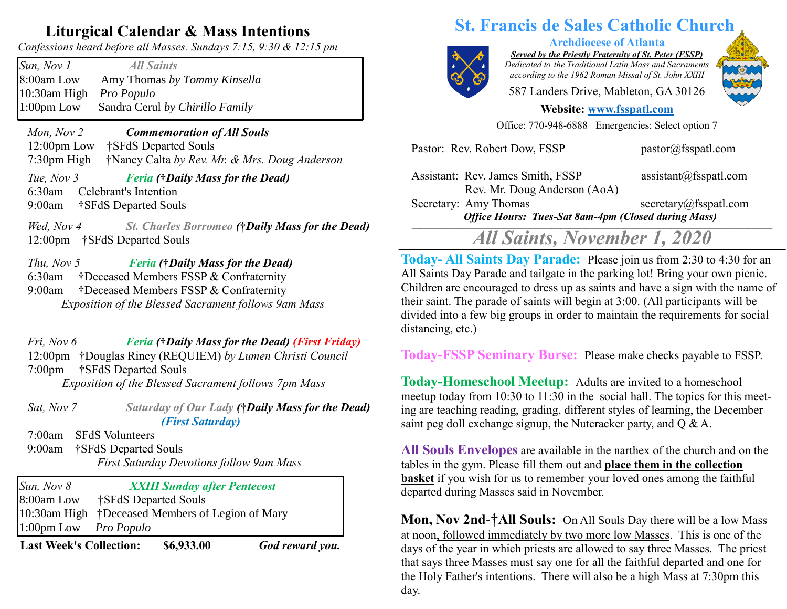## **Liturgical Calendar & Mass Intentions**

*Confessions heard before all Masses. Sundays 7:15, 9:30 & 12:15 pm*

*Sun, Nov 1 All Saints*  8:00am Low Amy Thomas *by Tommy Kinsella* 10:30am High *Pro Populo* 1:00pm Low Sandra Cerul *by Chirillo Family*

 *Mon, Nov 2 Commemoration of All Souls* 12:00pm Low †SFdS Departed Souls 7:30pm High †Nancy Calta *by Rev. Mr. & Mrs. Doug Anderson*

 *Tue, Nov 3 Feria (***†***Daily Mass for the Dead)*  6:30am Celebrant's Intention 9:00am †SFdS Departed Souls

*Wed, Nov 4 St. Charles Borromeo (***†***Daily Mass for the Dead)*  12:00pm †SFdS Departed Souls

#### *Thu, Nov 5 Feria (***†***Daily Mass for the Dead)* 6:30am†Deceased Members FSSP & Confraternity 9:00am †Deceased Members FSSP & Confraternity *Exposition of the Blessed Sacrament follows 9am Mass*

 *Fri, Nov 6 Feria (***†***Daily Mass for the Dead) (First Friday)* 12:00pm †Douglas Riney (REQUIEM) *by Lumen Christi Council* 7:00pm †SFdS Departed Souls *Exposition of the Blessed Sacrament follows 7pm Mass*

 *Sat, Nov 7 Saturday of Our Lady (***†***Daily Mass for the Dead) (First Saturday)*

7:00am SFdS Volunteers

 9:00am†SFdS Departed Souls *First Saturday Devotions follow 9am Mass* 

*Sun, Nov 8 XXIII Sunday after Pentecost*  8:00am Low †SFdS Departed Souls 10:30am High †Deceased Members of Legion of Mary 1:00pm Low *Pro Populo*

**Last Week's Collection: \$6,933.00** *God reward you.*

# **St. Francis de Sales Catholic Church**

*Served by the Priestly Fraternity of St. Peter (FSSP) Dedicated to the Traditional Latin Mass and Sacraments*

**Archdiocese of Atlanta**

*according to the 1962 Roman Missal of St. John XXIII*

587 Landers Drive, Mableton, GA 30126

#### **Website: [www.fsspatl.com](http://www.fsspatl.com/)**

Office: 770-948-6888 Emergencies: Select option 7

| Assistant: Rev. James Smith, FSSP<br>Rev. Mr. Doug Anderson (AoA)                   | $\text{assignment}(a)$ fsspatl.com |
|-------------------------------------------------------------------------------------|------------------------------------|
| Secretary: Amy Thomas<br><b>Office Hours: Tues-Sat 8am-4pm (Closed during Mass)</b> | secretary@fsspath.com              |
|                                                                                     |                                    |

Pastor: Rev. Robert Dow, FSSP pastor@fsspatl.com

# *All Saints, November 1, 2020*

Today-All Saints Day Parade: Please join us from 2:30 to 4:30 for an All Saints Day Parade and tailgate in the parking lot! Bring your own picnic. Children are encouraged to dress up as saints and have a sign with the name of their saint. The parade of saints will begin at 3:00. (All participants will be divided into a few big groups in order to maintain the requirements for social distancing, etc.)

**Today-FSSP Seminary Burse:** Please make checks payable to FSSP.

**Today-Homeschool Meetup:** Adults are invited to a homeschool meetup today from 10:30 to 11:30 in the social hall. The topics for this meeting are teaching reading, grading, different styles of learning, the December saint peg doll exchange signup, the Nutcracker party, and Q & A.

**All Souls Envelopes** are available in the narthex of the church and on the tables in the gym. Please fill them out and **place them in the collection basket** if you wish for us to remember your loved ones among the faithful departed during Masses said in November.

**Mon, Nov 2nd**-**†All Souls:** On All Souls Day there will be a low Mass at noon, followed immediately by two more low Masses. This is one of the days of the year in which priests are allowed to say three Masses. The priest that says three Masses must say one for all the faithful departed and one for the Holy Father's intentions. There will also be a high Mass at 7:30pm this day.